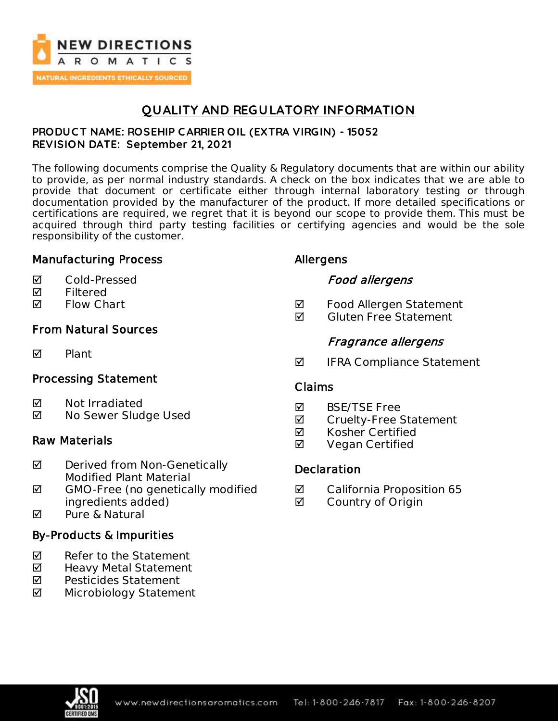

# **QUALITY AND REGULATORY INFORMATION**

### **PRODUC T NAME: ROSEHIP C ARRIER OIL (EXTRA VIRGIN) - 15052 REVISION DATE: September 21, 2021**

The following documents comprise the Quality & Regulatory documents that are within our ability to provide, as per normal industry standards. A check on the box indicates that we are able to provide that document or certificate either through internal laboratory testing or through documentation provided by the manufacturer of the product. If more detailed specifications or certifications are required, we regret that it is beyond our scope to provide them. This must be acquired through third party testing facilities or certifying agencies and would be the sole responsibility of the customer.

## Manufacturing Process

- Cold-Pressed
- **Ø** Filtered
- **Ø** Flow Chart

## From Natural Sources

**M** Plant

## Processing Statement

- **Ø** Not Irradiated
- **Ø** No Sewer Sludge Used

### Raw Materials

- **Ø** Derived from Non-Genetically Modified Plant Material
- $\boxtimes$  GMO-Free (no genetically modified ingredients added)
- **M** Pure & Natural

## By-Products & Impurities

- $\nabla$  Refer to the Statement
- ◘ Heavy Metal Statement
- **Ø** Pesticides Statement
- Microbiology Statement

## Allergens

## Food allergens

- **Ø** Food Allergen Statement
- $\blacksquare$  Gluten Free Statement

## Fragrance allergens

 $\blacksquare$  IFRA Compliance Statement

### Claims

- **M** BSF/TSF Free
- **Ø** Cruelty-Free Statement
- **Ø** Kosher Certified
- **Ø** Vegan Certified

## **Declaration**

- **Ø** California Proposition 65
- **Ø** Country of Origin

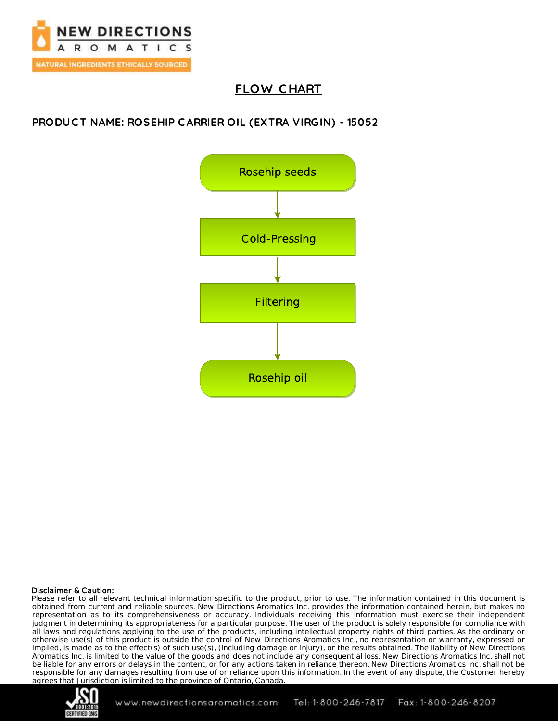

# **FLOW C HART**

### **PRODUC T NAME: ROSEHIP C ARRIER OIL (EXTRA VIRGIN) - 15052**



#### Disclaimer & Caution:

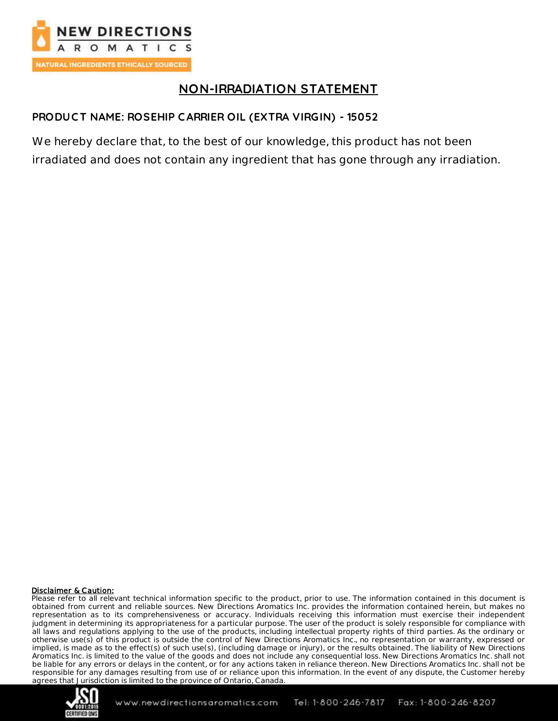

# **NON-IRRADIATION STATEMENT**

### **PRODUC T NAME: ROSEHIP C ARRIER OIL (EXTRA VIRGIN) - 15052**

We hereby declare that, to the best of our knowledge, this product has not been irradiated and does not contain any ingredient that has gone through any irradiation.

#### Disclaimer & Caution:

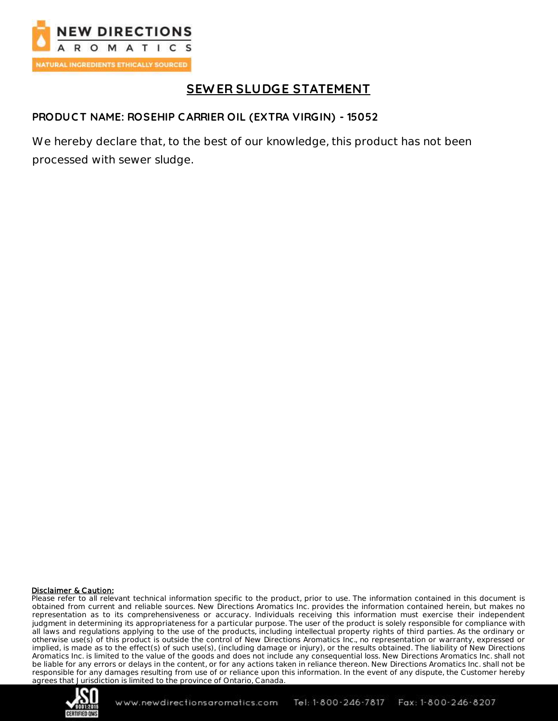

# **SEW ER SLUDGE STATEMENT**

### **PRODUC T NAME: ROSEHIP C ARRIER OIL (EXTRA VIRGIN) - 15052**

We hereby declare that, to the best of our knowledge, this product has not been processed with sewer sludge.

#### Disclaimer & Caution:

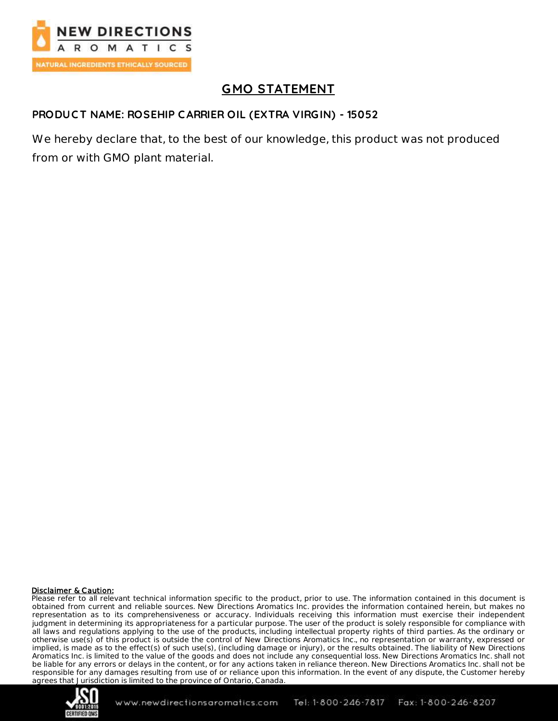

# **GMO STATEMENT**

### **PRODUC T NAME: ROSEHIP C ARRIER OIL (EXTRA VIRGIN) - 15052**

We hereby declare that, to the best of our knowledge, this product was not produced from or with GMO plant material.

#### Disclaimer & Caution:

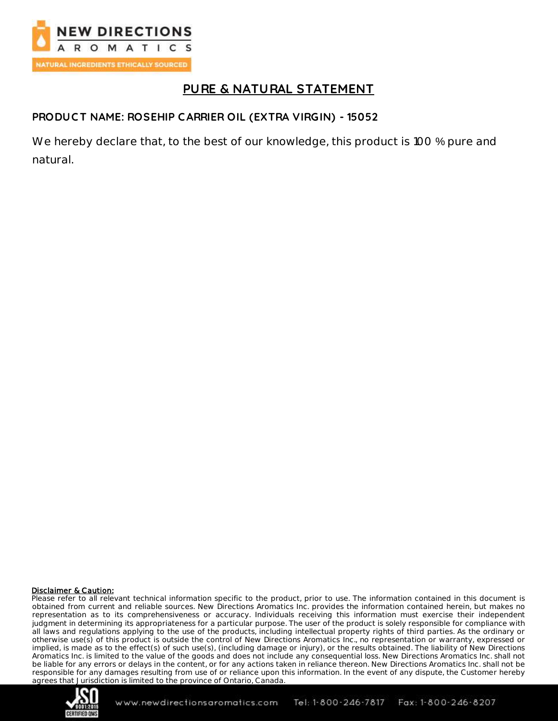

# **PURE & NATURAL STATEMENT**

### **PRODUC T NAME: ROSEHIP C ARRIER OIL (EXTRA VIRGIN) - 15052**

We hereby declare that, to the best of our knowledge, this product is 100 % pure and natural.

#### Disclaimer & Caution:

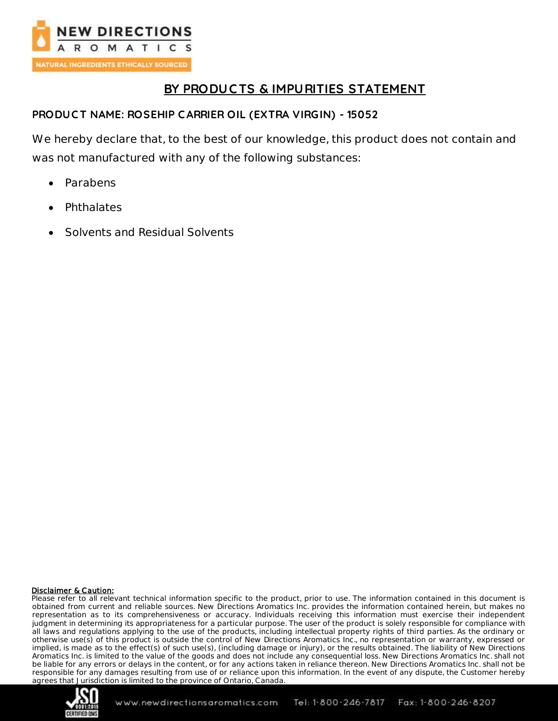

# **BY PRODUC TS & IMPURITIES STATEMENT**

### **PRODUC T NAME: ROSEHIP C ARRIER OIL (EXTRA VIRGIN) - 15052**

We hereby declare that, to the best of our knowledge, this product does not contain and was not manufactured with any of the following substances:

- Parabens
- Phthalates
- Solvents and Residual Solvents

#### Disclaimer & Caution:

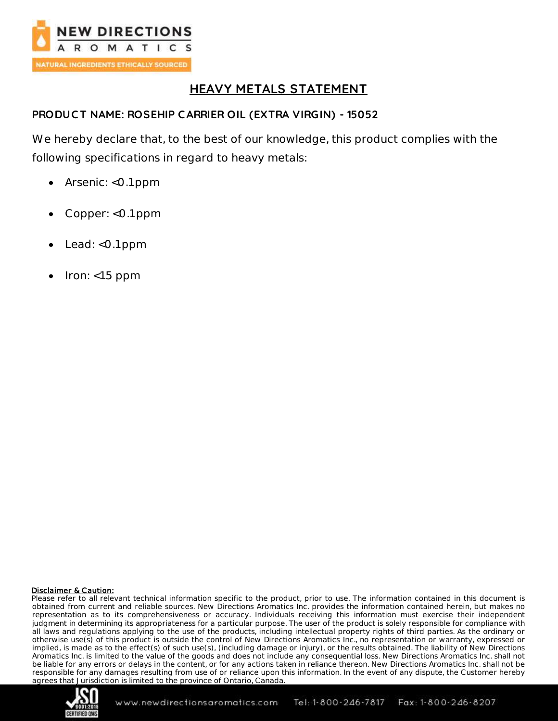

# **HEAVY METALS STATEMENT**

### **PRODUC T NAME: ROSEHIP C ARRIER OIL (EXTRA VIRGIN) - 15052**

We hereby declare that, to the best of our knowledge, this product complies with the following specifications in regard to heavy metals:

- Arsenic: <0.1 ppm
- Copper: <0.1 ppm
- Lead: <0.1 ppm
- Iron: <1.5 ppm

#### Disclaimer & Caution:

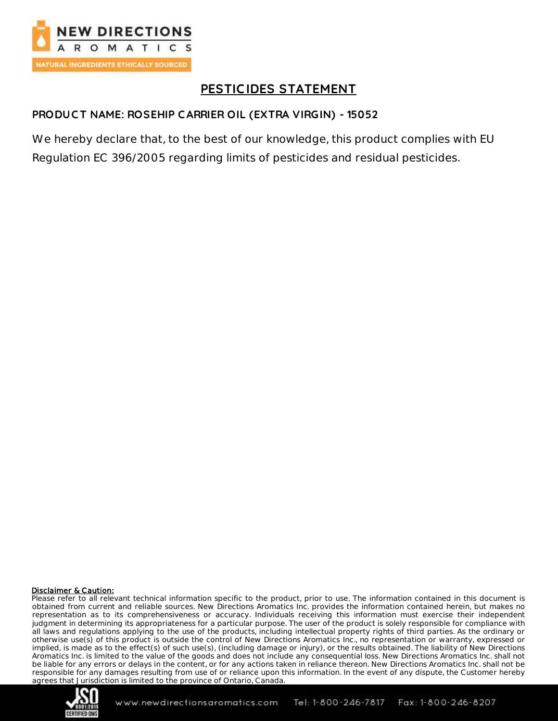

# **PESTIC IDES STATEMENT**

### **PRODUC T NAME: ROSEHIP C ARRIER OIL (EXTRA VIRGIN) - 15052**

We hereby declare that, to the best of our knowledge, this product complies with EU Regulation EC 396/2005 regarding limits of pesticides and residual pesticides.

#### Disclaimer & Caution:

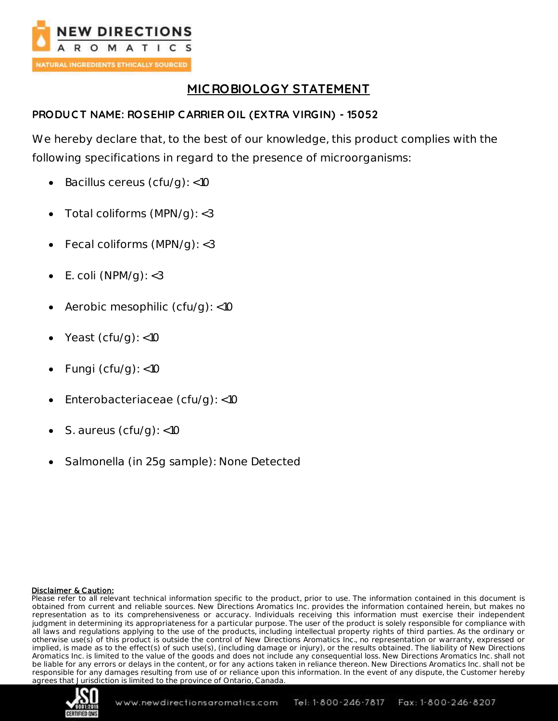

# **MIC ROBIOLOGY STATEMENT**

## **PRODUC T NAME: ROSEHIP C ARRIER OIL (EXTRA VIRGIN) - 15052**

We hereby declare that, to the best of our knowledge, this product complies with the following specifications in regard to the presence of microorganisms:

- $\bullet$  Bacillus cereus (cfu/g): <10
- Total coliforms (MPN/g): <3
- Fecal coliforms (MPN/g): <3
- $\bullet$  E. coli (NPM/g): <3
- Aerobic mesophilic (cfu/g): <10
- Yeast (cfu/g): <10
- Fungi ( $cfu/g$ ): <10
- Enterobacteriaceae (cfu/g): <10
- S. aureus (cfu/g): <10
- Salmonella (in 25g sample): None Detected

#### Disclaimer & Caution:

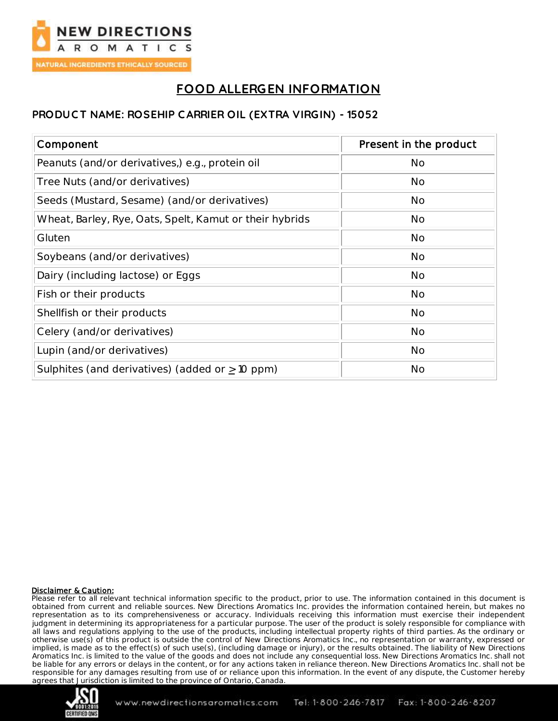

# **FOOD ALLERGEN INFORMATION**

### **PRODUC T NAME: ROSEHIP C ARRIER OIL (EXTRA VIRGIN) - 15052**

| Component                                               | Present in the product |
|---------------------------------------------------------|------------------------|
| Peanuts (and/or derivatives,) e.g., protein oil         | <b>No</b>              |
| Tree Nuts (and/or derivatives)                          | <b>No</b>              |
| Seeds (Mustard, Sesame) (and/or derivatives)            | <b>No</b>              |
| Wheat, Barley, Rye, Oats, Spelt, Kamut or their hybrids | <b>No</b>              |
| Gluten                                                  | <b>No</b>              |
| Soybeans (and/or derivatives)                           | <b>No</b>              |
| Dairy (including lactose) or Eggs                       | <b>No</b>              |
| Fish or their products                                  | <b>No</b>              |
| Shellfish or their products                             | <b>No</b>              |
| Celery (and/or derivatives)                             | <b>No</b>              |
| Lupin (and/or derivatives)                              | <b>No</b>              |
| Sulphites (and derivatives) (added or $\geq$ 10 ppm)    | <b>No</b>              |

#### Disclaimer & Caution:

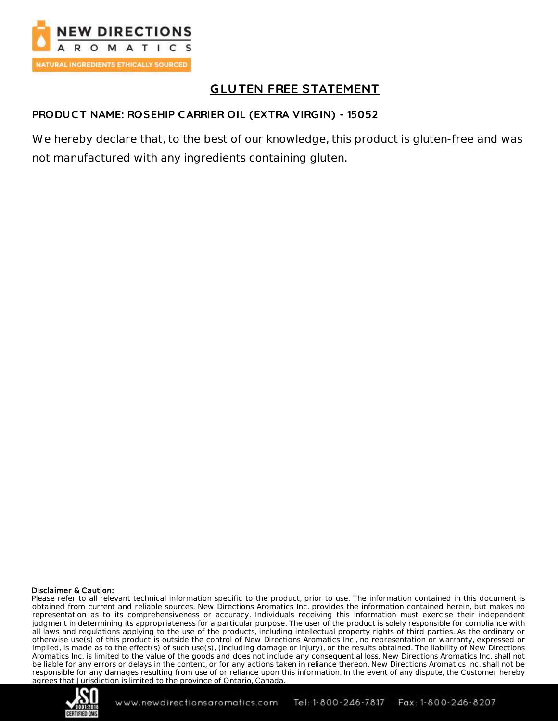

# **GLUTEN FREE STATEMENT**

### **PRODUC T NAME: ROSEHIP C ARRIER OIL (EXTRA VIRGIN) - 15052**

We hereby declare that, to the best of our knowledge, this product is gluten-free and was not manufactured with any ingredients containing gluten.

#### Disclaimer & Caution:

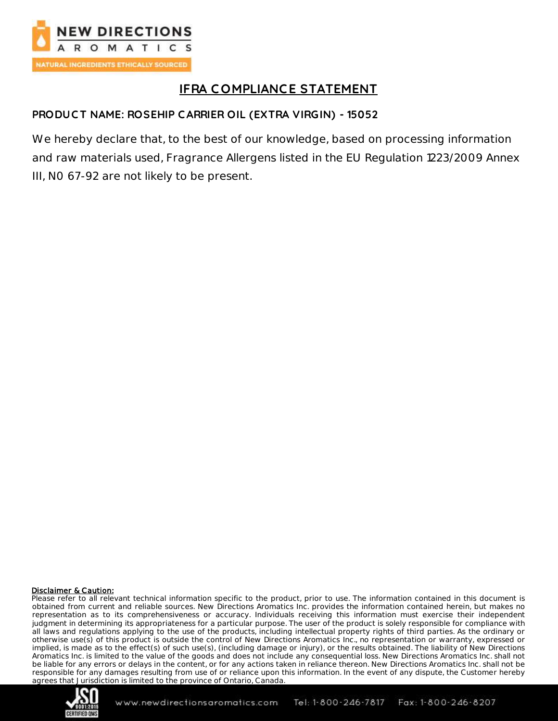

# **IFRA C OMPLIANCE STATEMENT**

## **PRODUC T NAME: ROSEHIP C ARRIER OIL (EXTRA VIRGIN) - 15052**

We hereby declare that, to the best of our knowledge, based on processing information and raw materials used, Fragrance Allergens listed in the EU Regulation 1223/2009 Annex III, N0 67-92 are not likely to be present.

#### Disclaimer & Caution:

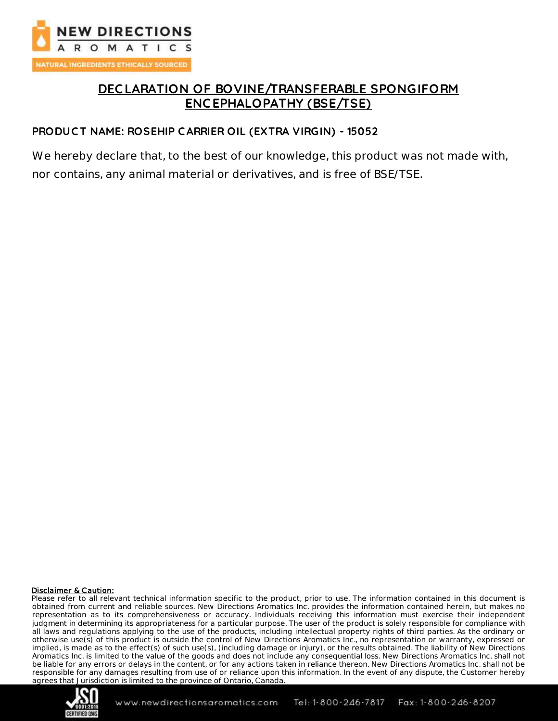

# **DEC LARATION OF BOVINE/TRANSFERABLE SPONGIFORM ENC EPHALOPATHY (BSE/TSE)**

#### **PRODUC T NAME: ROSEHIP C ARRIER OIL (EXTRA VIRGIN) - 15052**

We hereby declare that, to the best of our knowledge, this product was not made with, nor contains, any animal material or derivatives, and is free of BSE/TSE.

#### Disclaimer & Caution:

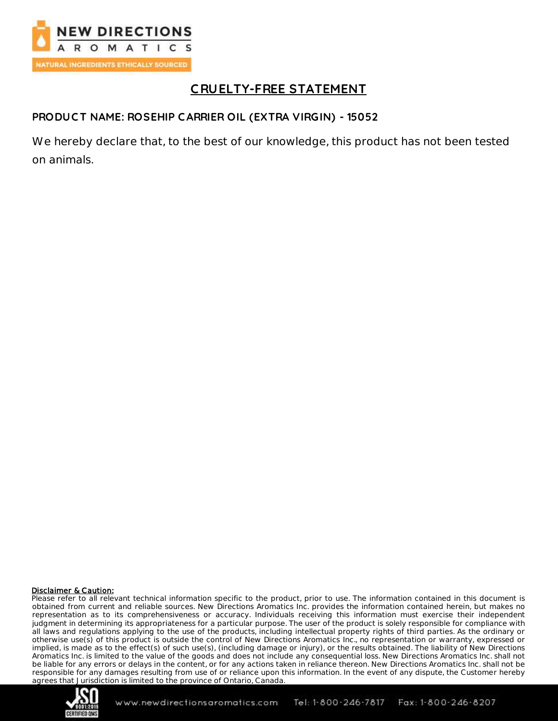

# **C RUELTY-FREE STATEMENT**

### **PRODUC T NAME: ROSEHIP C ARRIER OIL (EXTRA VIRGIN) - 15052**

We hereby declare that, to the best of our knowledge, this product has not been tested on animals.

#### Disclaimer & Caution:

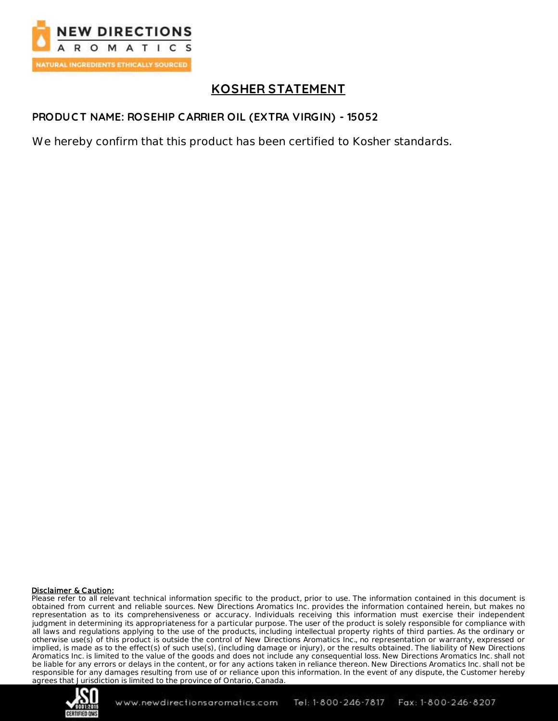

# **KOSHER STATEMENT**

### **PRODUC T NAME: ROSEHIP C ARRIER OIL (EXTRA VIRGIN) - 15052**

We hereby confirm that this product has been certified to Kosher standards.

#### Disclaimer & Caution:

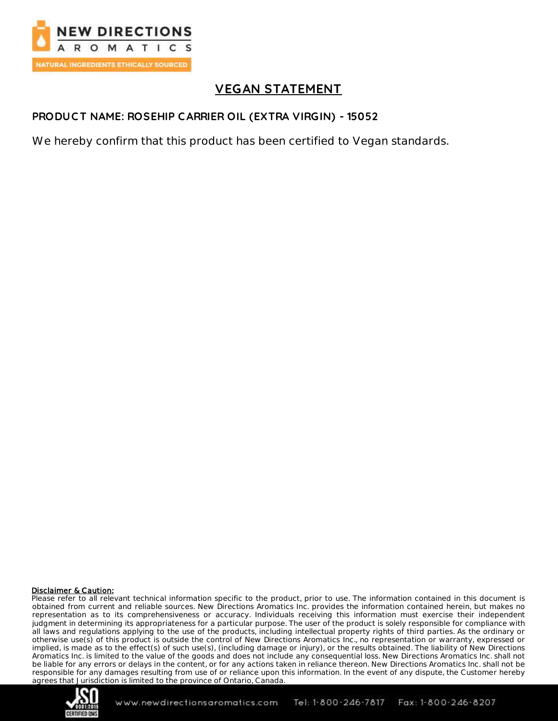

# **VEGAN STATEMENT**

### **PRODUC T NAME: ROSEHIP C ARRIER OIL (EXTRA VIRGIN) - 15052**

We hereby confirm that this product has been certified to Vegan standards.

#### Disclaimer & Caution:

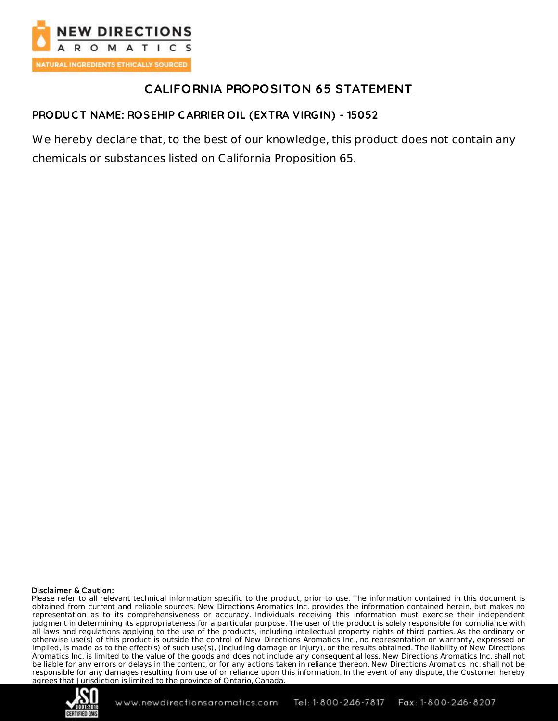

# **CALIFORNIA PROPOSITON 65 STATEMENT**

## **PRODUCT NAME: ROSEHIP C ARRIER OIL (EXTRA VIRGIN) - 15052**

We hereby declare that, to the best of our knowledge, this product does not contain any chemicals or substances listed on California Proposition 65.

#### Disclaimer & Caution: